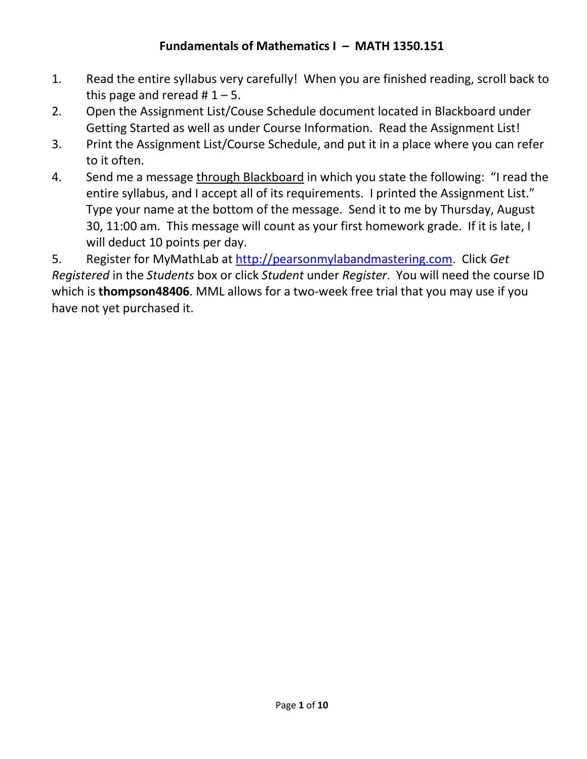# **Fundamentals of Mathematics I – MATH 1350.151**

- 1. Read the entire syllabus very carefully! When you are finished reading, scroll back to this page and reread  $# 1 - 5$ .
- 2. Open the Assignment List/Couse Schedule document located in Blackboard under Getting Started as well as under Course Information. Read the Assignment List!
- 3. Print the Assignment List/Course Schedule, and put it in a place where you can refer to it often.
- 4. Send me a message through Blackboard in which you state the following: "I read the entire syllabus, and I accept all of its requirements. I printed the Assignment List." Type your name at the bottom of the message. Send it to me by Thursday, August 30, 11:00 am. This message will count as your first homework grade. If it is late, I will deduct 10 points per day.

5. Register for MyMathLab at [http://pearsonmylabandmastering.com.](http://pearsonmylabandmastering.com/) Click *Get Registered* in the *Students* box or click *Student* under *Register*. You will need the course ID which is **thompson48406**. MML allows for a two-week free trial that you may use if you have not yet purchased it.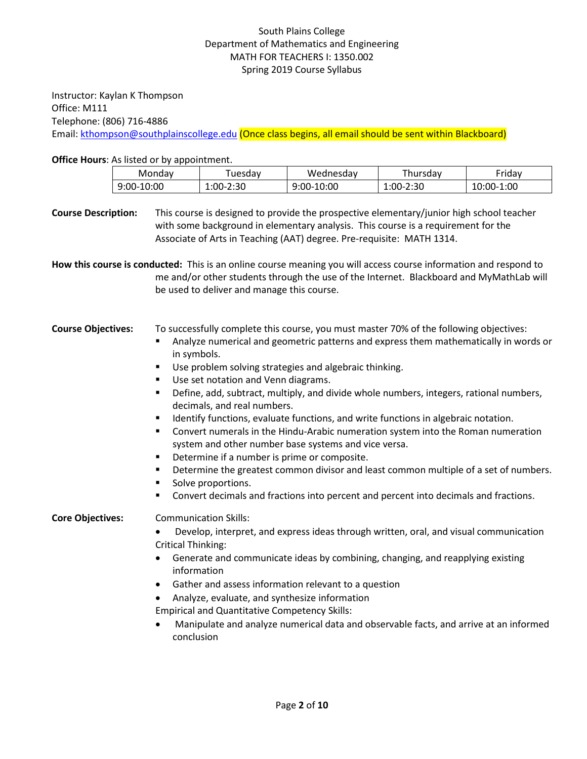### South Plains College Department of Mathematics and Engineering MATH FOR TEACHERS I: 1350.002 Spring 2019 Course Syllabus

Instructor: Kaylan K Thompson Office: M111 Telephone: (806) 716-4886 Email: [kthompson@southplainscollege.edu](mailto:kthompson@southplainscollege.edu) (Once class begins, all email should be sent within Blackboard)

**Office Hours**: As listed or by appointment.

| Mondav           | uesdav                      | Wednesdav        | hursdav             | riday.      |
|------------------|-----------------------------|------------------|---------------------|-------------|
| .0:00<br>$9:00-$ | ٠o٢<br>∴∩r<br>-2.JL<br>⊥.∪∪ | 10:00<br>$9:00-$ | $\cdot 2:30$<br>. . | 1:00<br>-00 |

**Course Description:** This course is designed to provide the prospective elementary/junior high school teacher with some background in elementary analysis. This course is a requirement for the Associate of Arts in Teaching (AAT) degree. Pre-requisite: MATH 1314.

**How this course is conducted:** This is an online course meaning you will access course information and respond to me and/or other students through the use of the Internet. Blackboard and MyMathLab will be used to deliver and manage this course.

| <b>Course Objectives:</b> | To successfully complete this course, you must master 70% of the following objectives: |
|---------------------------|----------------------------------------------------------------------------------------|
|---------------------------|----------------------------------------------------------------------------------------|

- Analyze numerical and geometric patterns and express them mathematically in words or in symbols.
- Use problem solving strategies and algebraic thinking.
- Use set notation and Venn diagrams.
- Define, add, subtract, multiply, and divide whole numbers, integers, rational numbers, decimals, and real numbers.
- Identify functions, evaluate functions, and write functions in algebraic notation.
- Convert numerals in the Hindu-Arabic numeration system into the Roman numeration system and other number base systems and vice versa.
- Determine if a number is prime or composite.
- **•** Determine the greatest common divisor and least common multiple of a set of numbers.
- Solve proportions.
- Convert decimals and fractions into percent and percent into decimals and fractions.

**Core Objectives:** Communication Skills:

- Develop, interpret, and express ideas through written, oral, and visual communication Critical Thinking:
- Generate and communicate ideas by combining, changing, and reapplying existing information
- Gather and assess information relevant to a question
- Analyze, evaluate, and synthesize information

Empirical and Quantitative Competency Skills:

• Manipulate and analyze numerical data and observable facts, and arrive at an informed conclusion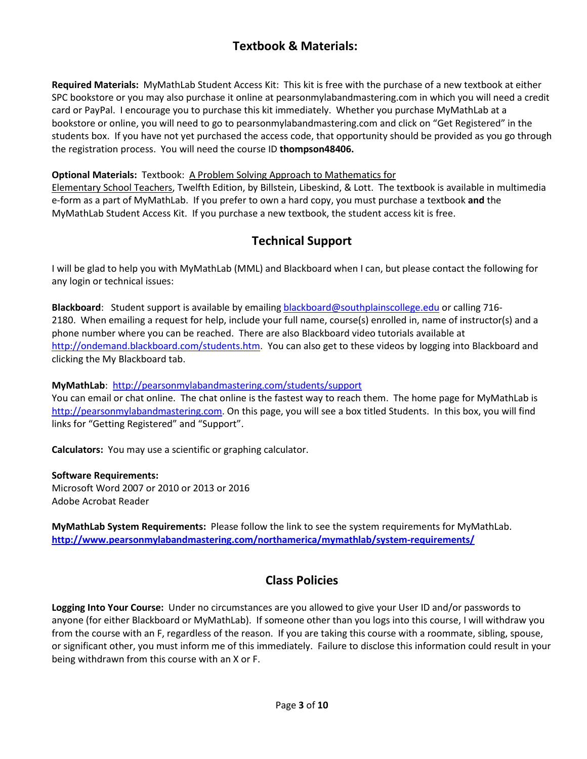# **Textbook & Materials:**

**Required Materials:** MyMathLab Student Access Kit: This kit is free with the purchase of a new textbook at either SPC bookstore or you may also purchase it online at pearsonmylabandmastering.com in which you will need a credit card or PayPal. I encourage you to purchase this kit immediately. Whether you purchase MyMathLab at a bookstore or online, you will need to go to pearsonmylabandmastering.com and click on "Get Registered" in the students box. If you have not yet purchased the access code, that opportunity should be provided as you go through the registration process. You will need the course ID **thompson48406.**

#### **Optional Materials:** Textbook: A Problem Solving Approach to Mathematics for

Elementary School Teachers, Twelfth Edition, by Billstein, Libeskind, & Lott. The textbook is available in multimedia e-form as a part of MyMathLab. If you prefer to own a hard copy, you must purchase a textbook **and** the MyMathLab Student Access Kit. If you purchase a new textbook, the student access kit is free.

# **Technical Support**

I will be glad to help you with MyMathLab (MML) and Blackboard when I can, but please contact the following for any login or technical issues:

**Blackboard**: Student support is available by emailing [blackboard@southplainscollege.edu](mailto:blackboard@southplainscollege.edu) or calling 716- 2180. When emailing a request for help, include your full name, course(s) enrolled in, name of instructor(s) and a phone number where you can be reached. There are also Blackboard video tutorials available at [http://ondemand.blackboard.com/students.htm.](http://ondemand.blackboard.com/students.htm) You can also get to these videos by logging into Blackboard and clicking the My Blackboard tab.

### **MyMathLab**:<http://pearsonmylabandmastering.com/students/support>

You can email or chat online. The chat online is the fastest way to reach them. The home page for MyMathLab is [http://pearsonmylabandmastering.com.](http://pearsonmylabandmastering.com/) On this page, you will see a box titled Students. In this box, you will find links for "Getting Registered" and "Support".

**Calculators:** You may use a scientific or graphing calculator.

**Software Requirements:** Microsoft Word 2007 or 2010 or 2013 or 2016 Adobe Acrobat Reader

**MyMathLab System Requirements:** Please follow the link to see the system requirements for MyMathLab. **<http://www.pearsonmylabandmastering.com/northamerica/mymathlab/system-requirements/>**

# **Class Policies**

**Logging Into Your Course:** Under no circumstances are you allowed to give your User ID and/or passwords to anyone (for either Blackboard or MyMathLab). If someone other than you logs into this course, I will withdraw you from the course with an F, regardless of the reason. If you are taking this course with a roommate, sibling, spouse, or significant other, you must inform me of this immediately. Failure to disclose this information could result in your being withdrawn from this course with an X or F.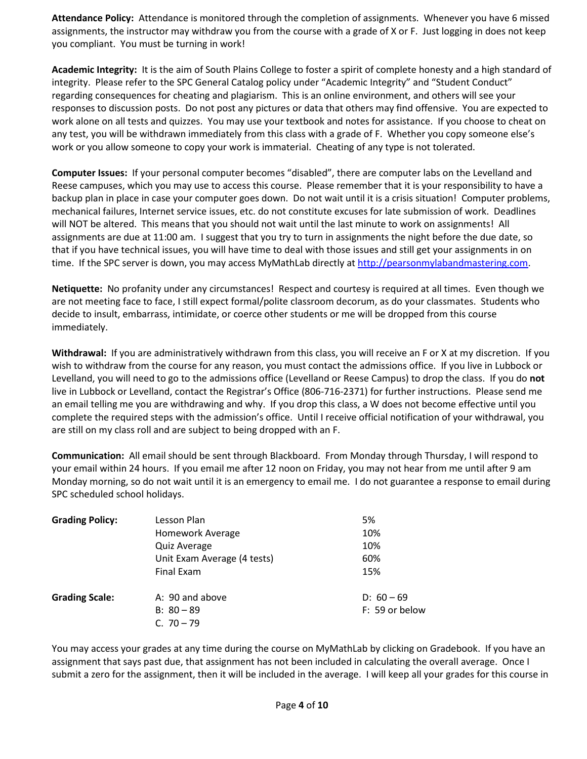**Attendance Policy:** Attendance is monitored through the completion of assignments. Whenever you have 6 missed assignments, the instructor may withdraw you from the course with a grade of X or F. Just logging in does not keep you compliant. You must be turning in work!

**Academic Integrity:** It is the aim of South Plains College to foster a spirit of complete honesty and a high standard of integrity. Please refer to the SPC General Catalog policy under "Academic Integrity" and "Student Conduct" regarding consequences for cheating and plagiarism. This is an online environment, and others will see your responses to discussion posts. Do not post any pictures or data that others may find offensive. You are expected to work alone on all tests and quizzes. You may use your textbook and notes for assistance. If you choose to cheat on any test, you will be withdrawn immediately from this class with a grade of F. Whether you copy someone else's work or you allow someone to copy your work is immaterial. Cheating of any type is not tolerated.

**Computer Issues:** If your personal computer becomes "disabled", there are computer labs on the Levelland and Reese campuses, which you may use to access this course. Please remember that it is your responsibility to have a backup plan in place in case your computer goes down. Do not wait until it is a crisis situation! Computer problems, mechanical failures, Internet service issues, etc. do not constitute excuses for late submission of work. Deadlines will NOT be altered. This means that you should not wait until the last minute to work on assignments! All assignments are due at 11:00 am. I suggest that you try to turn in assignments the night before the due date, so that if you have technical issues, you will have time to deal with those issues and still get your assignments in on time. If the SPC server is down, you may access MyMathLab directly at [http://pearsonmylabandmastering.com.](http://pearsonmylabandmastering.com/)

**Netiquette:** No profanity under any circumstances! Respect and courtesy is required at all times. Even though we are not meeting face to face, I still expect formal/polite classroom decorum, as do your classmates. Students who decide to insult, embarrass, intimidate, or coerce other students or me will be dropped from this course immediately.

**Withdrawal:** If you are administratively withdrawn from this class, you will receive an F or X at my discretion. If you wish to withdraw from the course for any reason, you must contact the admissions office. If you live in Lubbock or Levelland, you will need to go to the admissions office (Levelland or Reese Campus) to drop the class. If you do **not** live in Lubbock or Levelland, contact the Registrar's Office (806-716-2371) for further instructions. Please send me an email telling me you are withdrawing and why. If you drop this class, a W does not become effective until you complete the required steps with the admission's office. Until I receive official notification of your withdrawal, you are still on my class roll and are subject to being dropped with an F.

**Communication:** All email should be sent through Blackboard. From Monday through Thursday, I will respond to your email within 24 hours. If you email me after 12 noon on Friday, you may not hear from me until after 9 am Monday morning, so do not wait until it is an emergency to email me. I do not guarantee a response to email during SPC scheduled school holidays.

| <b>Grading Policy:</b> | Lesson Plan                 | 5%             |
|------------------------|-----------------------------|----------------|
|                        | <b>Homework Average</b>     | 10%            |
|                        | <b>Quiz Average</b>         | 10%            |
|                        | Unit Exam Average (4 tests) | 60%            |
|                        | Final Exam                  | 15%            |
| <b>Grading Scale:</b>  | A: 90 and above             | $D: 60 - 69$   |
|                        | $B: 80 - 89$                | F: 59 or below |
|                        | C. $70 - 79$                |                |

You may access your grades at any time during the course on MyMathLab by clicking on Gradebook. If you have an assignment that says past due, that assignment has not been included in calculating the overall average. Once I submit a zero for the assignment, then it will be included in the average. I will keep all your grades for this course in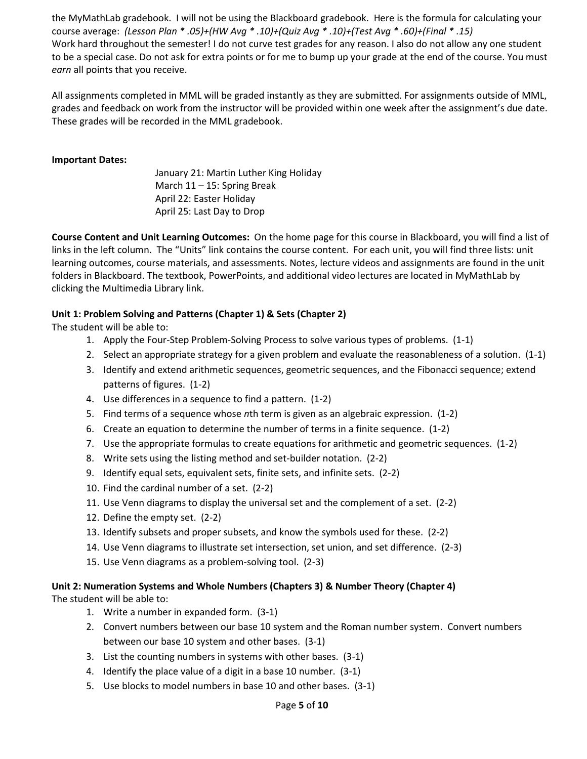the MyMathLab gradebook. I will not be using the Blackboard gradebook. Here is the formula for calculating your course average: *(Lesson Plan \* .05)+(HW Avg \* .10)+(Quiz Avg \* .10)+(Test Avg \* .60)+(Final \* .15)* Work hard throughout the semester! I do not curve test grades for any reason. I also do not allow any one student to be a special case. Do not ask for extra points or for me to bump up your grade at the end of the course. You must *earn* all points that you receive.

All assignments completed in MML will be graded instantly as they are submitted. For assignments outside of MML, grades and feedback on work from the instructor will be provided within one week after the assignment's due date. These grades will be recorded in the MML gradebook.

### **Important Dates:**

January 21: Martin Luther King Holiday March 11 – 15: Spring Break April 22: Easter Holiday April 25: Last Day to Drop

**Course Content and Unit Learning Outcomes:** On the home page for this course in Blackboard, you will find a list of links in the left column. The "Units" link contains the course content. For each unit, you will find three lists: unit learning outcomes, course materials, and assessments. Notes, lecture videos and assignments are found in the unit folders in Blackboard. The textbook, PowerPoints, and additional video lectures are located in MyMathLab by clicking the Multimedia Library link.

### **Unit 1: Problem Solving and Patterns (Chapter 1) & Sets (Chapter 2)**

The student will be able to:

- 1. Apply the Four-Step Problem-Solving Process to solve various types of problems. (1-1)
- 2. Select an appropriate strategy for a given problem and evaluate the reasonableness of a solution. (1-1)
- 3. Identify and extend arithmetic sequences, geometric sequences, and the Fibonacci sequence; extend patterns of figures. (1-2)
- 4. Use differences in a sequence to find a pattern. (1-2)
- 5. Find terms of a sequence whose *n*th term is given as an algebraic expression. (1-2)
- 6. Create an equation to determine the number of terms in a finite sequence. (1-2)
- 7. Use the appropriate formulas to create equations for arithmetic and geometric sequences. (1-2)
- 8. Write sets using the listing method and set-builder notation. (2-2)
- 9. Identify equal sets, equivalent sets, finite sets, and infinite sets. (2-2)
- 10. Find the cardinal number of a set. (2-2)
- 11. Use Venn diagrams to display the universal set and the complement of a set. (2-2)
- 12. Define the empty set. (2-2)
- 13. Identify subsets and proper subsets, and know the symbols used for these. (2-2)
- 14. Use Venn diagrams to illustrate set intersection, set union, and set difference. (2-3)
- 15. Use Venn diagrams as a problem-solving tool. (2-3)

# **Unit 2: Numeration Systems and Whole Numbers (Chapters 3) & Number Theory (Chapter 4)**

The student will be able to:

- 1. Write a number in expanded form. (3-1)
- 2. Convert numbers between our base 10 system and the Roman number system. Convert numbers between our base 10 system and other bases. (3-1)
- 3. List the counting numbers in systems with other bases. (3-1)
- 4. Identify the place value of a digit in a base 10 number. (3-1)
- 5. Use blocks to model numbers in base 10 and other bases. (3-1)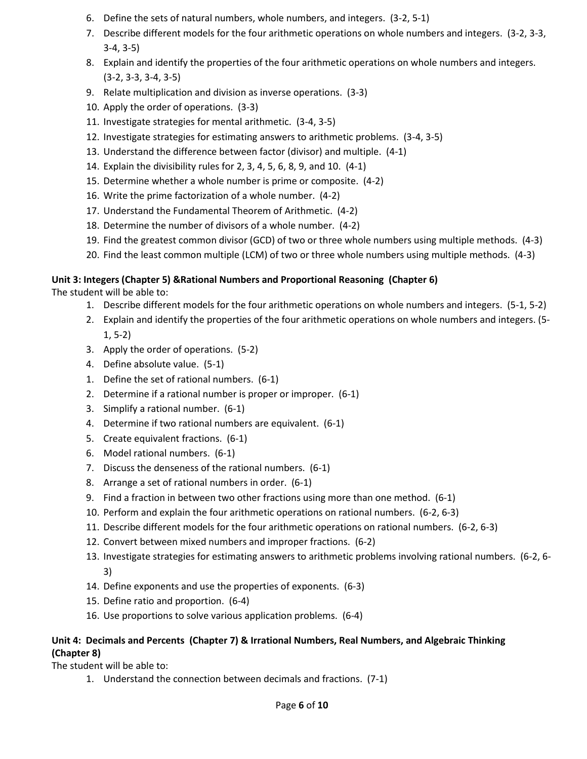- 6. Define the sets of natural numbers, whole numbers, and integers. (3-2, 5-1)
- 7. Describe different models for the four arithmetic operations on whole numbers and integers. (3-2, 3-3, 3-4, 3-5)
- 8. Explain and identify the properties of the four arithmetic operations on whole numbers and integers. (3-2, 3-3, 3-4, 3-5)
- 9. Relate multiplication and division as inverse operations. (3-3)
- 10. Apply the order of operations. (3-3)
- 11. Investigate strategies for mental arithmetic. (3-4, 3-5)
- 12. Investigate strategies for estimating answers to arithmetic problems. (3-4, 3-5)
- 13. Understand the difference between factor (divisor) and multiple. (4-1)
- 14. Explain the divisibility rules for 2, 3, 4, 5, 6, 8, 9, and 10. (4-1)
- 15. Determine whether a whole number is prime or composite. (4-2)
- 16. Write the prime factorization of a whole number. (4-2)
- 17. Understand the Fundamental Theorem of Arithmetic. (4-2)
- 18. Determine the number of divisors of a whole number. (4-2)
- 19. Find the greatest common divisor (GCD) of two or three whole numbers using multiple methods. (4-3)
- 20. Find the least common multiple (LCM) of two or three whole numbers using multiple methods. (4-3)

## **Unit 3: Integers (Chapter 5) &Rational Numbers and Proportional Reasoning (Chapter 6)**

The student will be able to:

- 1. Describe different models for the four arithmetic operations on whole numbers and integers. (5-1, 5-2)
- 2. Explain and identify the properties of the four arithmetic operations on whole numbers and integers. (5- 1, 5-2)
- 3. Apply the order of operations. (5-2)
- 4. Define absolute value. (5-1)
- 1. Define the set of rational numbers. (6-1)
- 2. Determine if a rational number is proper or improper. (6-1)
- 3. Simplify a rational number. (6-1)
- 4. Determine if two rational numbers are equivalent. (6-1)
- 5. Create equivalent fractions. (6-1)
- 6. Model rational numbers. (6-1)
- 7. Discuss the denseness of the rational numbers. (6-1)
- 8. Arrange a set of rational numbers in order. (6-1)
- 9. Find a fraction in between two other fractions using more than one method. (6-1)
- 10. Perform and explain the four arithmetic operations on rational numbers. (6-2, 6-3)
- 11. Describe different models for the four arithmetic operations on rational numbers. (6-2, 6-3)
- 12. Convert between mixed numbers and improper fractions. (6-2)
- 13. Investigate strategies for estimating answers to arithmetic problems involving rational numbers. (6-2, 6- 3)
- 14. Define exponents and use the properties of exponents. (6-3)
- 15. Define ratio and proportion. (6-4)
- 16. Use proportions to solve various application problems. (6-4)

## **Unit 4: Decimals and Percents (Chapter 7) & Irrational Numbers, Real Numbers, and Algebraic Thinking (Chapter 8)**

The student will be able to:

1. Understand the connection between decimals and fractions. (7-1)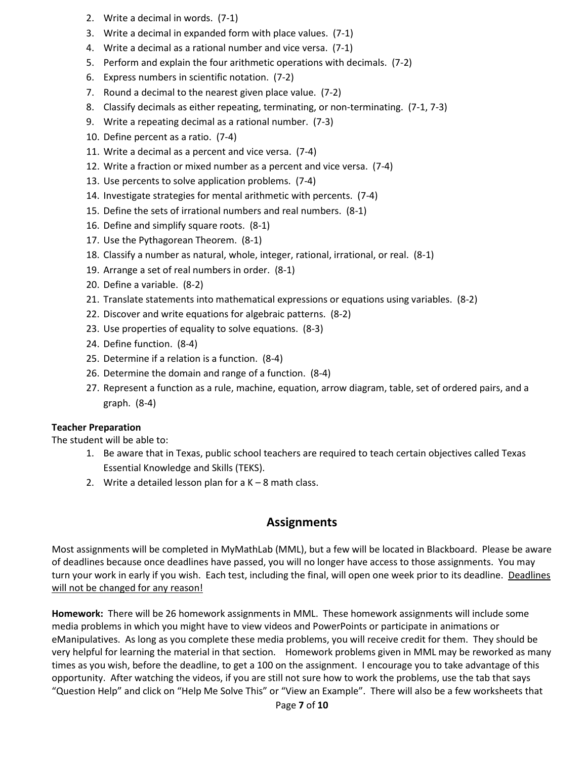- 2. Write a decimal in words. (7-1)
- 3. Write a decimal in expanded form with place values. (7-1)
- 4. Write a decimal as a rational number and vice versa. (7-1)
- 5. Perform and explain the four arithmetic operations with decimals. (7-2)
- 6. Express numbers in scientific notation. (7-2)
- 7. Round a decimal to the nearest given place value. (7-2)
- 8. Classify decimals as either repeating, terminating, or non-terminating. (7-1, 7-3)
- 9. Write a repeating decimal as a rational number. (7-3)
- 10. Define percent as a ratio. (7-4)
- 11. Write a decimal as a percent and vice versa. (7-4)
- 12. Write a fraction or mixed number as a percent and vice versa. (7-4)
- 13. Use percents to solve application problems. (7-4)
- 14. Investigate strategies for mental arithmetic with percents. (7-4)
- 15. Define the sets of irrational numbers and real numbers. (8-1)
- 16. Define and simplify square roots. (8-1)
- 17. Use the Pythagorean Theorem. (8-1)
- 18. Classify a number as natural, whole, integer, rational, irrational, or real. (8-1)
- 19. Arrange a set of real numbers in order. (8-1)
- 20. Define a variable. (8-2)
- 21. Translate statements into mathematical expressions or equations using variables. (8-2)
- 22. Discover and write equations for algebraic patterns. (8-2)
- 23. Use properties of equality to solve equations. (8-3)
- 24. Define function. (8-4)
- 25. Determine if a relation is a function. (8-4)
- 26. Determine the domain and range of a function. (8-4)
- 27. Represent a function as a rule, machine, equation, arrow diagram, table, set of ordered pairs, and a graph. (8-4)

#### **Teacher Preparation**

The student will be able to:

- 1. Be aware that in Texas, public school teachers are required to teach certain objectives called Texas Essential Knowledge and Skills (TEKS).
- 2. Write a detailed lesson plan for a  $K 8$  math class.

# **Assignments**

Most assignments will be completed in MyMathLab (MML), but a few will be located in Blackboard. Please be aware of deadlines because once deadlines have passed, you will no longer have access to those assignments. You may turn your work in early if you wish. Each test, including the final, will open one week prior to its deadline. Deadlines will not be changed for any reason!

**Homework:** There will be 26 homework assignments in MML. These homework assignments will include some media problems in which you might have to view videos and PowerPoints or participate in animations or eManipulatives. As long as you complete these media problems, you will receive credit for them. They should be very helpful for learning the material in that section. Homework problems given in MML may be reworked as many times as you wish, before the deadline, to get a 100 on the assignment. I encourage you to take advantage of this opportunity. After watching the videos, if you are still not sure how to work the problems, use the tab that says "Question Help" and click on "Help Me Solve This" or "View an Example". There will also be a few worksheets that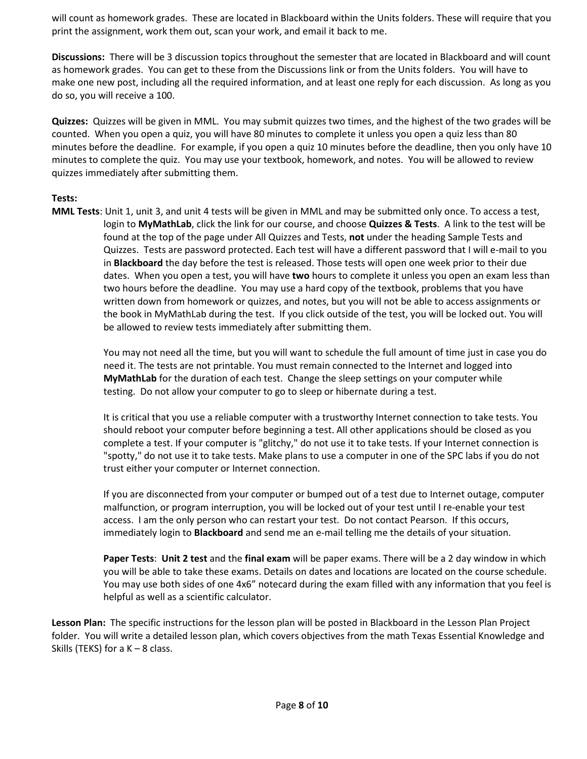will count as homework grades. These are located in Blackboard within the Units folders. These will require that you print the assignment, work them out, scan your work, and email it back to me.

**Discussions:** There will be 3 discussion topics throughout the semester that are located in Blackboard and will count as homework grades. You can get to these from the Discussions link or from the Units folders. You will have to make one new post, including all the required information, and at least one reply for each discussion. As long as you do so, you will receive a 100.

**Quizzes:** Quizzes will be given in MML. You may submit quizzes two times, and the highest of the two grades will be counted. When you open a quiz, you will have 80 minutes to complete it unless you open a quiz less than 80 minutes before the deadline. For example, if you open a quiz 10 minutes before the deadline, then you only have 10 minutes to complete the quiz. You may use your textbook, homework, and notes. You will be allowed to review quizzes immediately after submitting them.

### **Tests:**

**MML Tests**: Unit 1, unit 3, and unit 4 tests will be given in MML and may be submitted only once. To access a test, login to **MyMathLab**, click the link for our course, and choose **Quizzes & Tests**. A link to the test will be found at the top of the page under All Quizzes and Tests, **not** under the heading Sample Tests and Quizzes. Tests are password protected. Each test will have a different password that I will e-mail to you in **Blackboard** the day before the test is released. Those tests will open one week prior to their due dates. When you open a test, you will have **two** hours to complete it unless you open an exam less than two hours before the deadline. You may use a hard copy of the textbook, problems that you have written down from homework or quizzes, and notes, but you will not be able to access assignments or the book in MyMathLab during the test. If you click outside of the test, you will be locked out. You will be allowed to review tests immediately after submitting them.

> You may not need all the time, but you will want to schedule the full amount of time just in case you do need it. The tests are not printable. You must remain connected to the Internet and logged into **MyMathLab** for the duration of each test. Change the sleep settings on your computer while testing. Do not allow your computer to go to sleep or hibernate during a test.

It is critical that you use a reliable computer with a trustworthy Internet connection to take tests. You should reboot your computer before beginning a test. All other applications should be closed as you complete a test. If your computer is "glitchy," do not use it to take tests. If your Internet connection is "spotty," do not use it to take tests. Make plans to use a computer in one of the SPC labs if you do not trust either your computer or Internet connection.

If you are disconnected from your computer or bumped out of a test due to Internet outage, computer malfunction, or program interruption, you will be locked out of your test until I re-enable your test access. I am the only person who can restart your test. Do not contact Pearson. If this occurs, immediately login to **Blackboard** and send me an e-mail telling me the details of your situation.

**Paper Tests**: **Unit 2 test** and the **final exam** will be paper exams. There will be a 2 day window in which you will be able to take these exams. Details on dates and locations are located on the course schedule. You may use both sides of one 4x6" notecard during the exam filled with any information that you feel is helpful as well as a scientific calculator.

**Lesson Plan:** The specific instructions for the lesson plan will be posted in Blackboard in the Lesson Plan Project folder. You will write a detailed lesson plan, which covers objectives from the math Texas Essential Knowledge and Skills (TEKS) for a  $K - 8$  class.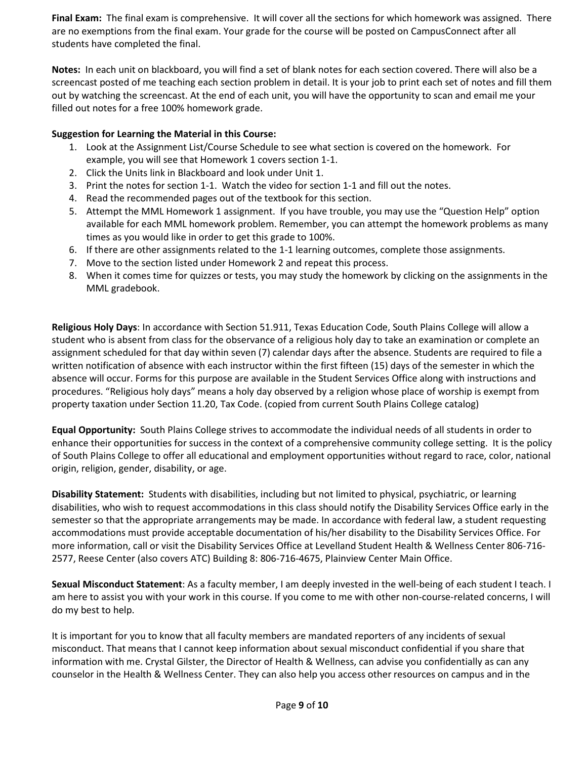**Final Exam:** The final exam is comprehensive. It will cover all the sections for which homework was assigned. There are no exemptions from the final exam. Your grade for the course will be posted on CampusConnect after all students have completed the final.

**Notes:** In each unit on blackboard, you will find a set of blank notes for each section covered. There will also be a screencast posted of me teaching each section problem in detail. It is your job to print each set of notes and fill them out by watching the screencast. At the end of each unit, you will have the opportunity to scan and email me your filled out notes for a free 100% homework grade.

## **Suggestion for Learning the Material in this Course:**

- 1. Look at the Assignment List/Course Schedule to see what section is covered on the homework. For example, you will see that Homework 1 covers section 1-1.
- 2. Click the Units link in Blackboard and look under Unit 1.
- 3. Print the notes for section 1-1. Watch the video for section 1-1 and fill out the notes.
- 4. Read the recommended pages out of the textbook for this section.
- 5. Attempt the MML Homework 1 assignment. If you have trouble, you may use the "Question Help" option available for each MML homework problem. Remember, you can attempt the homework problems as many times as you would like in order to get this grade to 100%.
- 6. If there are other assignments related to the 1-1 learning outcomes, complete those assignments.
- 7. Move to the section listed under Homework 2 and repeat this process.
- 8. When it comes time for quizzes or tests, you may study the homework by clicking on the assignments in the MML gradebook.

**Religious Holy Days**: In accordance with Section 51.911, Texas Education Code, South Plains College will allow a student who is absent from class for the observance of a religious holy day to take an examination or complete an assignment scheduled for that day within seven (7) calendar days after the absence. Students are required to file a written notification of absence with each instructor within the first fifteen (15) days of the semester in which the absence will occur. Forms for this purpose are available in the Student Services Office along with instructions and procedures. "Religious holy days" means a holy day observed by a religion whose place of worship is exempt from property taxation under Section 11.20, Tax Code. (copied from current South Plains College catalog)

**Equal Opportunity:** South Plains College strives to accommodate the individual needs of all students in order to enhance their opportunities for success in the context of a comprehensive community college setting. It is the policy of South Plains College to offer all educational and employment opportunities without regard to race, color, national origin, religion, gender, disability, or age.

**Disability Statement:** Students with disabilities, including but not limited to physical, psychiatric, or learning disabilities, who wish to request accommodations in this class should notify the Disability Services Office early in the semester so that the appropriate arrangements may be made. In accordance with federal law, a student requesting accommodations must provide acceptable documentation of his/her disability to the Disability Services Office. For more information, call or visit the Disability Services Office at Levelland Student Health & Wellness Center 806-716- 2577, Reese Center (also covers ATC) Building 8: 806-716-4675, Plainview Center Main Office.

**Sexual Misconduct Statement**: As a faculty member, I am deeply invested in the well-being of each student I teach. I am here to assist you with your work in this course. If you come to me with other non-course-related concerns, I will do my best to help.

It is important for you to know that all faculty members are mandated reporters of any incidents of sexual misconduct. That means that I cannot keep information about sexual misconduct confidential if you share that information with me. Crystal Gilster, the Director of Health & Wellness, can advise you confidentially as can any counselor in the Health & Wellness Center. They can also help you access other resources on campus and in the